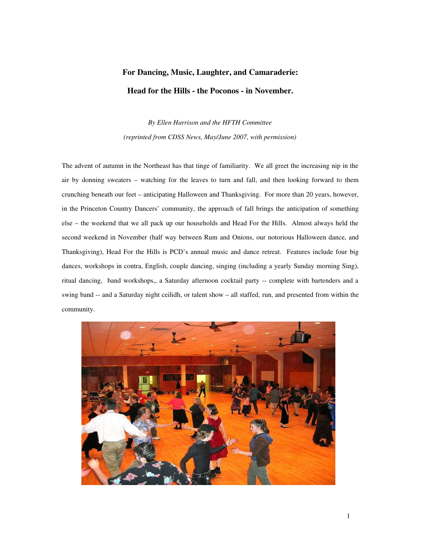## For Dancing, Music, Laughter, and Camaraderie: Head for the Hills - the Poconos - in November.

*By Ellen Harrison and the HFTH Committee (reprinted from CDSS News, May/June 2007, with permission)*

The advent of autumn in the Northeast has that tinge of familiarity. We all greet the increasing nip in the air by donning sweaters – watching for the leaves to turn and fall, and then looking forward to them crunching beneath our feet – anticipating Halloween and Thanksgiving. For more than 20 years, however, in the Princeton Country Dancers' community, the approach of fall brings the anticipation of something else – the weekend that we all pack up our households and Head For the Hills. Almost always held the second weekend in November (half way between Rum and Onions, our notorious Halloween dance, and Thanksgiving), Head For the Hills is PCD's annual music and dance retreat. Features include four big dances, workshops in contra, English, couple dancing, singing (including a yearly Sunday morning Sing), ritual dancing, band workshops,, a Saturday afternoon cocktail party -- complete with bartenders and a swing band -- and a Saturday night ceilidh, or talent show – all staffed, run, and presented from within the community.

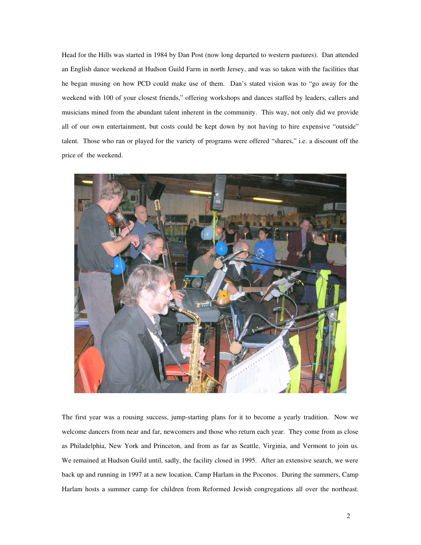Head for the Hills was started in 1984 by Dan Post (now long departed to western pastures). Dan attended an English dance weekend at Hudson Guild Farm in north Jersey, and was so taken with the facilities that he began musing on how PCD could make use of them. Dan's stated vision was to "go away for the weekend with 100 of your closest friends," offering workshops and dances staffed by leaders, callers and musicians mined from the abundant talent inherent in the community. This way, not only did we provide all of our own entertainment, but costs could be kept down by not having to hire expensive "outside" talent. Those who ran or played for the variety of programs were offered "shares," i.e. a discount off the price of the weekend.



The first year was a rousing success, jump-starting plans for it to become a yearly tradition. Now we welcome dancers from near and far, newcomers and those who return each year. They come from as close as Philadelphia, New York and Princeton, and from as far as Seattle, Virginia, and Vermont to join us. We remained at Hudson Guild until, sadly, the facility closed in 1995. After an extensive search, we were back up and running in 1997 at a new location, Camp Harlam in the Poconos. During the summers, Camp Harlam hosts a summer camp for children from Reformed Jewish congregations all over the northeast.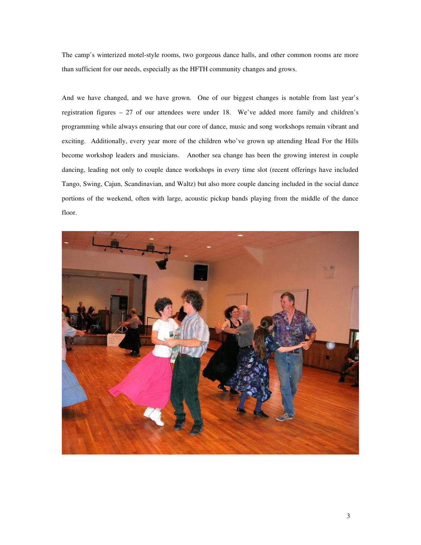The camp's winterized motel-style rooms, two gorgeous dance halls, and other common rooms are more than sufficient for our needs, especially as the HFTH community changes and grows.

And we have changed, and we have grown. One of our biggest changes is notable from last year's registration figures – 27 of our attendees were under 18. We've added more family and children's programming while always ensuring that our core of dance, music and song workshops remain vibrant and exciting. Additionally, every year more of the children who've grown up attending Head For the Hills become workshop leaders and musicians. Another sea change has been the growing interest in couple dancing, leading not only to couple dance workshops in every time slot (recent offerings have included Tango, Swing, Cajun, Scandinavian, and Waltz) but also more couple dancing included in the social dance portions of the weekend, often with large, acoustic pickup bands playing from the middle of the dance floor.